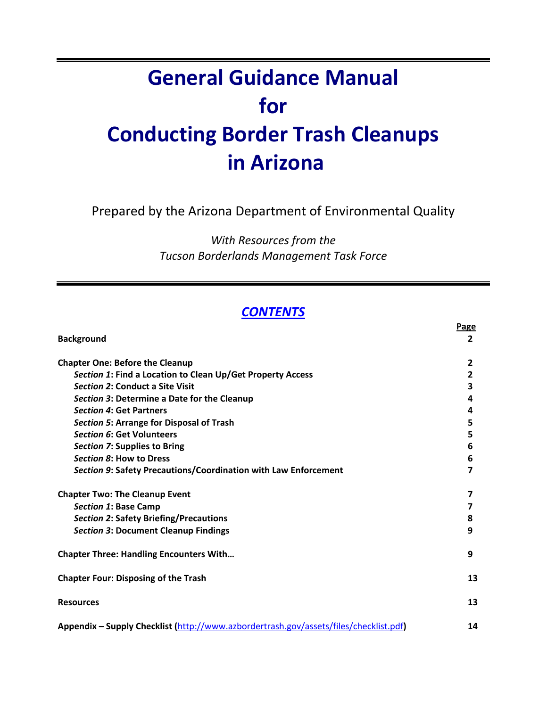# **General Guidance Manual for Conducting Border Trash Cleanups in Arizona**

Prepared by the Arizona Department of Environmental Quality

*With Resources from the Tucson Borderlands Management Task Force*

# *CONTENTS*

|                                                                                       | Page           |
|---------------------------------------------------------------------------------------|----------------|
| <b>Background</b>                                                                     | $\overline{2}$ |
| <b>Chapter One: Before the Cleanup</b>                                                | $\overline{2}$ |
| Section 1: Find a Location to Clean Up/Get Property Access                            | $\overline{2}$ |
| Section 2: Conduct a Site Visit                                                       | 3              |
| Section 3: Determine a Date for the Cleanup                                           | 4              |
| <b>Section 4: Get Partners</b>                                                        | 4              |
| Section 5: Arrange for Disposal of Trash                                              | 5              |
| <b>Section 6: Get Volunteers</b>                                                      | 5              |
| Section 7: Supplies to Bring                                                          | 6              |
| Section 8: How to Dress                                                               | 6              |
| Section 9: Safety Precautions/Coordination with Law Enforcement                       | 7              |
| <b>Chapter Two: The Cleanup Event</b>                                                 |                |
| <b>Section 1: Base Camp</b>                                                           | 7              |
| <b>Section 2: Safety Briefing/Precautions</b>                                         | 8              |
| <b>Section 3: Document Cleanup Findings</b>                                           | 9              |
| <b>Chapter Three: Handling Encounters With</b>                                        | 9              |
| <b>Chapter Four: Disposing of the Trash</b>                                           | 13             |
| <b>Resources</b>                                                                      | 13             |
| Appendix - Supply Checklist (http://www.azbordertrash.gov/assets/files/checklist.pdf) | 14             |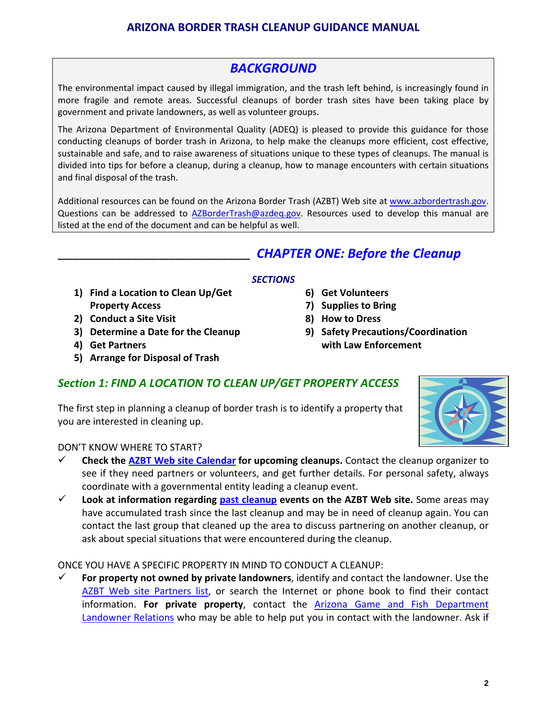# *BACKGROUND*

The environmental impact caused by illegal immigration, and the trash left behind, is increasingly found in more fragile and remote areas. Successful cleanups of border trash sites have been taking place by government and private landowners, as well as volunteer groups.

The Arizona Department of Environmental Quality (ADEQ) is pleased to provide this guidance for those conducting cleanups of border trash in Arizona, to help make the cleanups more efficient, cost effective, sustainable and safe, and to raise awareness of situations unique to these types of cleanups. The manual is divided into tips for before a cleanup, during a cleanup, how to manage encounters with certain situations and final disposal of the trash.

Additional resources can be found on the Arizona Border Trash (AZBT) Web site at [www.azbordertrash.gov](http://www.azbordertrash.gov/). Questions can be addressed to [AZBorderTrash@azdeq.gov.](mailto:AZBorderTrash@azdeq.gov) Resources used to develop this manual are listed at the end of the document and can be helpful as well.

# **\_\_\_\_\_\_\_\_\_\_\_\_\_\_\_\_\_\_\_\_\_\_\_\_\_\_\_\_\_\_\_\_\_\_\_\_** *CHAPTER ONE: Before the Cleanup*

#### *SECTIONS*

- **1) Find a Location to Clean Up/Get Property Access**
- **2) Conduct a Site Visit**
- **3) Determine a Date for the Cleanup**
- **4) Get Partners**
- **5) Arrange for Disposal of Trash**
- **6) Get Volunteers**
- **7) Supplies to Bring**
- **8) How to Dress**
- **9) Safety Precautions/Coordination with Law Enforcement**

# *Section 1: FIND A LOCATION TO CLEAN UP/GET PROPERTY ACCESS*

The first step in planning a cleanup of border trash is to identify a property that you are interested in cleaning up.



#### DON'T KNOW WHERE TO START?

- **Check the AZBT Web site [Calendar](http://www.azbordertrash.gov/Calendar.php) for upcoming cleanups.** Contact the cleanup organizer to see if they need partners or volunteers, and get further details. For personal safety, always coordinate with a governmental entity leading a cleanup event.
- **Look at information regarding past [cleanup](http://www.azbordertrash.gov/summary.php) events on the AZBT Web site.** Some areas may have accumulated trash since the last cleanup and may be in need of cleanup again. You can contact the last group that cleaned up the area to discuss partnering on another cleanup, or ask about special situations that were encountered during the cleanup.

ONCE YOU HAVE A SPECIFIC PROPERTY IN MIND TO CONDUCT A CLEANUP:

 **For property not owned by private landowners**, identify and contact the landowner. Use the AZBT Web site [Partners](http://www.azbordertrash.gov/partners.html) list, or search the Internet or phone book to find their contact information. **For private property**, contact the Arizona Game and Fish [Department](http://www.azgfd.gov/outdoor_recreation/landowner_relation.shtml) [Landowner](http://www.azgfd.gov/outdoor_recreation/landowner_relation.shtml) Relations who may be able to help put you in contact with the landowner. Ask if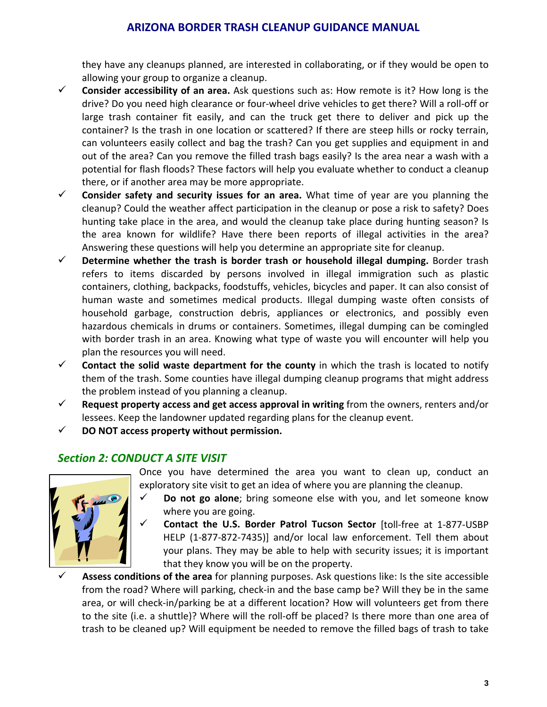they have any cleanups planned, are interested in collaborating, or if they would be open to allowing your group to organize a cleanup.

- **Consider accessibility of an area.** Ask questions such as: How remote is it? How long is the drive? Do you need high clearance or four‐wheel drive vehicles to get there? Will a roll‐off or large trash container fit easily, and can the truck get there to deliver and pick up the container? Is the trash in one location or scattered? If there are steep hills or rocky terrain, can volunteers easily collect and bag the trash? Can you get supplies and equipment in and out of the area? Can you remove the filled trash bags easily? Is the area near a wash with a potential for flash floods? These factors will help you evaluate whether to conduct a cleanup there, or if another area may be more appropriate.
- **Consider safety and security issues for an area.** What time of year are you planning the cleanup? Could the weather affect participation in the cleanup or pose a risk to safety? Does hunting take place in the area, and would the cleanup take place during hunting season? Is the area known for wildlife? Have there been reports of illegal activities in the area? Answering these questions will help you determine an appropriate site for cleanup.
- **Determine whether the trash is border trash or household illegal dumping.** Border trash refers to items discarded by persons involved in illegal immigration such as plastic containers, clothing, backpacks, foodstuffs, vehicles, bicycles and paper. It can also consist of human waste and sometimes medical products. Illegal dumping waste often consists of household garbage, construction debris, appliances or electronics, and possibly even hazardous chemicals in drums or containers. Sometimes, illegal dumping can be comingled with border trash in an area. Knowing what type of waste you will encounter will help you plan the resources you will need.
- **Contact the solid waste department for the county** in which the trash is located to notify them of the trash. Some counties have illegal dumping cleanup programs that might address the problem instead of you planning a cleanup.
- **Request property access and get access approval in writing** from the owners, renters and/or lessees. Keep the landowner updated regarding plans for the cleanup event.
- **DO NOT access property without permission.**

# *Section 2: CONDUCT A SITE VISIT*



Once you have determined the area you want to clean up, conduct an exploratory site visit to get an idea of where you are planning the cleanup.

- **Do not go alone**; bring someone else with you, and let someone know where you are going.
	- **Contact the U.S. Border Patrol Tucson Sector** [toll‐free at 1‐877‐USBP HELP (1‐877‐872‐7435)] and/or local law enforcement. Tell them about your plans. They may be able to help with security issues; it is important that they know you will be on the property.
- **Assess conditions of the area** for planning purposes. Ask questions like: Is the site accessible from the road? Where will parking, check-in and the base camp be? Will they be in the same area, or will check‐in/parking be at a different location? How will volunteers get from there to the site (i.e. a shuttle)? Where will the roll‐off be placed? Is there more than one area of trash to be cleaned up? Will equipment be needed to remove the filled bags of trash to take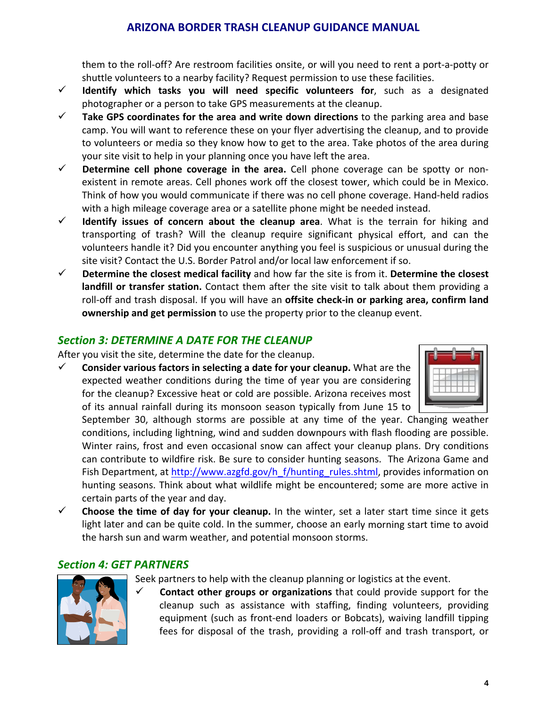them to the roll‐off? Are restroom facilities onsite, or will you need to rent a port‐a‐potty or shuttle volunteers to a nearby facility? Request permission to use these facilities.

- **Identify which tasks you will need specific volunteers for**, such as a designated photographer or a person to take GPS measurements at the cleanup.
- **Take GPS coordinates for the area and write down directions** to the parking area and base camp. You will want to reference these on your flyer advertising the cleanup, and to provide to volunteers or media so they know how to get to the area. Take photos of the area during your site visit to help in your planning once you have left the area.
- **Determine cell phone coverage in the area.** Cell phone coverage can be spotty or non‐ existent in remote areas. Cell phones work off the closest tower, which could be in Mexico. Think of how you would communicate if there was no cell phone coverage. Hand‐held radios with a high mileage coverage area or a satellite phone might be needed instead.
- **Identify issues of concern about the cleanup area**. What is the terrain for hiking and transporting of trash? Will the cleanup require significant physical effort, and can the volunteers handle it? Did you encounter anything you feel is suspicious or unusual during the site visit? Contact the U.S. Border Patrol and/or local law enforcement if so.
- **Determine the closest medical facility** and how far the site is from it. **Determine the closest landfill or transfer station.** Contact them after the site visit to talk about them providing a roll‐off and trash disposal. If you will have an **offsite check‐in or parking area, confirm land ownership and get permission** to use the property prior to the cleanup event.

# *Section 3: DETERMINE A DATE FOR THE CLEANUP*

After you visit the site, determine the date for the cleanup.

 **Consider various factors in selecting a date for your cleanup.** What are the expected weather conditions during the time of year you are considering for the cleanup? Excessive heat or cold are possible. Arizona receives most of its annual rainfall during its monsoon season typically from June 15 to



September 30, although storms are possible at any time of the year. Changing weather conditions, including lightning, wind and sudden downpours with flash flooding are possible. Winter rains, frost and even occasional snow can affect your cleanup plans. Dry conditions can contribute to wildfire risk. Be sure to consider hunting seasons. The Arizona Game and Fish Department, at [http://www.azgfd.gov/h\\_f/hunting\\_rules.shtml](http://www.azgfd.gov/h_f/hunting_rules.shtml), provides information on hunting seasons. Think about what wildlife might be encountered; some are more active in certain parts of the year and day.

 **Choose the time of day for your cleanup.** In the winter, set a later start time since it gets light later and can be quite cold. In the summer, choose an early morning start time to avoid the harsh sun and warm weather, and potential monsoon storms.

### *Section 4: GET PARTNERS*



Seek partners to help with the cleanup planning or logistics at the event.

 **Contact other groups or organizations** that could provide support for the cleanup such as assistance with staffing, finding volunteers, providing equipment (such as front‐end loaders or Bobcats), waiving landfill tipping fees for disposal of the trash, providing a roll‐off and trash transport, or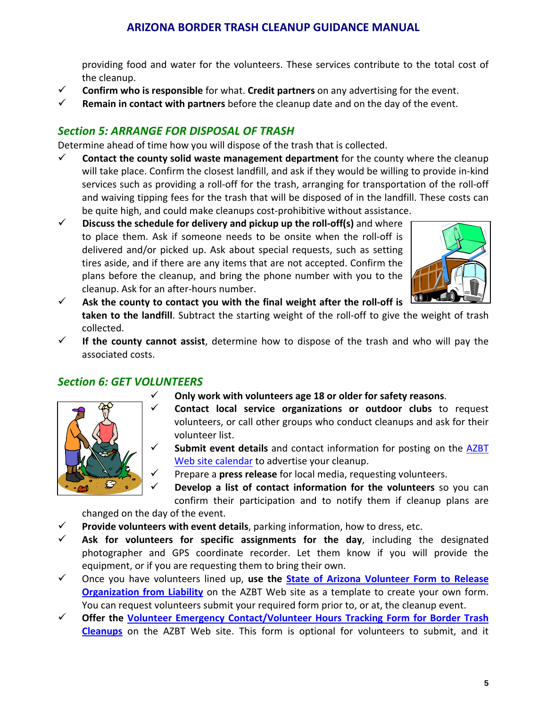providing food and water for the volunteers. These services contribute to the total cost of the cleanup.

- **Confirm who is responsible** for what. **Credit partners** on any advertising for the event.
- **Remain in contact with partners** before the cleanup date and on the day of the event.

### *Section 5: ARRANGE FOR DISPOSAL OF TRASH*

Determine ahead of time how you will dispose of the trash that is collected.

- **Contact the county solid waste management department** for the county where the cleanup will take place. Confirm the closest landfill, and ask if they would be willing to provide in‐kind services such as providing a roll‐off for the trash, arranging for transportation of the roll‐off and waiving tipping fees for the trash that will be disposed of in the landfill. These costs can be quite high, and could make cleanups cost‐prohibitive without assistance.
- **Discuss the schedule for delivery and pickup up the roll‐off(s)** and where to place them. Ask if someone needs to be onsite when the roll‐off is delivered and/or picked up. Ask about special requests, such as setting tires aside, and if there are any items that are not accepted. Confirm the plans before the cleanup, and bring the phone number with you to the cleanup. Ask for an after‐hours number.



- **Ask the county to contact you with the final weight after the roll‐off is taken to the landfill**. Subtract the starting weight of the roll‐off to give the weight of trash collected.
- **If the county cannot assist**, determine how to dispose of the trash and who will pay the associated costs.

### *Section 6: GET VOLUNTEERS*

**Only work with volunteers age 18 or older for safety reasons**.



- **Contact local service organizations or outdoor clubs** to request volunteers, or call other groups who conduct cleanups and ask for their volunteer list.
- **Submit event details** and contact information for posting on the [AZBT](http://www.azbordertrash.gov/EventRequest.php) Web site [calendar](http://www.azbordertrash.gov/EventRequest.php) to advertise your cleanup.
	- Prepare a **press release** for local media, requesting volunteers.
- **Develop a list of contact information for the volunteers** so you can confirm their participation and to notify them if cleanup plans are changed on the day of the event.

- **Provide volunteers with event details**, parking information, how to dress, etc.
- **Ask for volunteers for specific assignments for the day**, including the designated photographer and GPS coordinate recorder. Let them know if you will provide the equipment, or if you are requesting them to bring their own.
- Once you have volunteers lined up, **use the State of Arizona [Volunteer](http://www.azbordertrash.gov/assets/files/Volunteer Registration Form 9_2_09.pdf) Form to Release [Organization](http://www.azbordertrash.gov/assets/files/Volunteer Registration Form 9_2_09.pdf) from Liability** on the AZBT Web site as a template to create your own form. You can request volunteers submit your required form prior to, or at, the cleanup event.
- **Offer the Volunteer Emergency [Contact/Volunteer](http://www.azbordertrash.gov/assets/files/vei_form.pdf) Hours Tracking Form for Border Trash [Cleanups](http://www.azbordertrash.gov/assets/files/vei_form.pdf)** on the AZBT Web site. This form is optional for volunteers to submit, and it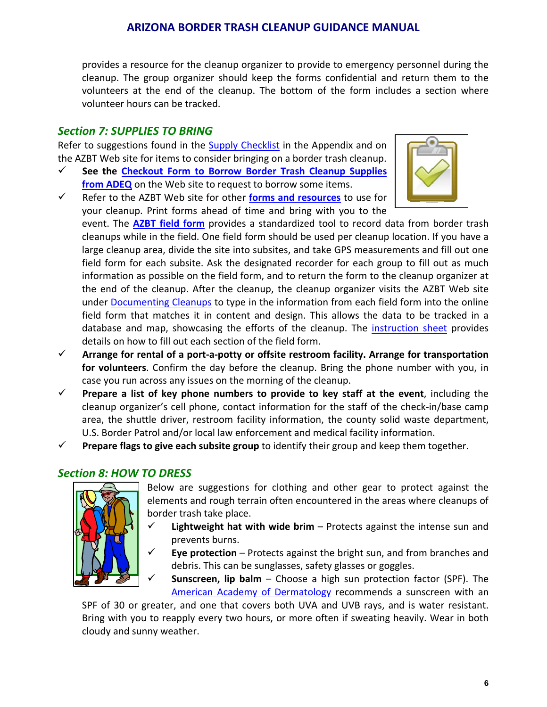provides a resource for the cleanup organizer to provide to emergency personnel during the cleanup. The group organizer should keep the forms confidential and return them to the volunteers at the end of the cleanup. The bottom of the form includes a section where volunteer hours can be tracked.

### *Section 7: SUPPLIES TO BRING*

Refer to suggestions found in the **Supply [Checklist](http://www.azbordertrash.gov/assets/files/checklist.pdf)** in the Appendix and on the AZBT Web site for items to consider bringing on a border trash cleanup.

- **See the [Checkout](http://www.azbordertrash.gov/assets/files/ADEQ_Supplies.pdf) Form to Borrow Border Trash Cleanup Supplies from [ADEQ](http://www.azbordertrash.gov/assets/files/ADEQ_Supplies.pdf)** on the Web site to request to borrow some items.
- Refer to the AZBT Web site for other **forms and [resources](http://www.azbordertrash.gov/resources.html)** to use for your cleanup. Print forms ahead of time and bring with you to the



event. The **[AZBT](http://www.azbordertrash.gov/assets/files/fieldform.pdf) field form** provides a standardized tool to record data from border trash cleanups while in the field. One field form should be used per cleanup location. If you have a large cleanup area, divide the site into subsites, and take GPS measurements and fill out one field form for each subsite. Ask the designated recorder for each group to fill out as much information as possible on the field form, and to return the form to the cleanup organizer at the end of the cleanup. After the cleanup, the cleanup organizer visits the AZBT Web site under [Documenting](http://www.azbordertrash.gov/documenting.html) Cleanups to type in the information from each field form into the online field form that matches it in content and design. This allows the data to be tracked in a database and map, showcasing the efforts of the cleanup. The [instruction](http://www.azbordertrash.gov/assets/files/fieldforminst.pdf) sheet provides details on how to fill out each section of the field form.

- **Arrange for rental of a port‐a‐potty or offsite restroom facility. Arrange for transportation for volunteers**. Confirm the day before the cleanup. Bring the phone number with you, in case you run across any issues on the morning of the cleanup.
- **Prepare a list of key phone numbers to provide to key staff at the event**, including the cleanup organizer's cell phone, contact information for the staff of the check‐in/base camp area, the shuttle driver, restroom facility information, the county solid waste department, U.S. Border Patrol and/or local law enforcement and medical facility information.
- **Prepare flags to give each subsite group** to identify their group and keep them together.

# *Section 8: HOW TO DRESS*



Below are suggestions for clothing and other gear to protect against the elements and rough terrain often encountered in the areas where cleanups of border trash take place.

- **Lightweight hat with wide brim** Protects against the intense sun and prevents burns.
- **Eye protection** Protects against the bright sun, and from branches and debris. This can be sunglasses, safety glasses or goggles.

 **Sunscreen, lip balm** – Choose a high sun protection factor (SPF). The American Academy of [Dermatology](http://www.aad.org/media-resources/stats-and-facts/prevention-and-care/sunscreens) recommends a sunscreen with an

SPF of 30 or greater, and one that covers both UVA and UVB rays, and is water resistant. Bring with you to reapply every two hours, or more often if sweating heavily. Wear in both cloudy and sunny weather.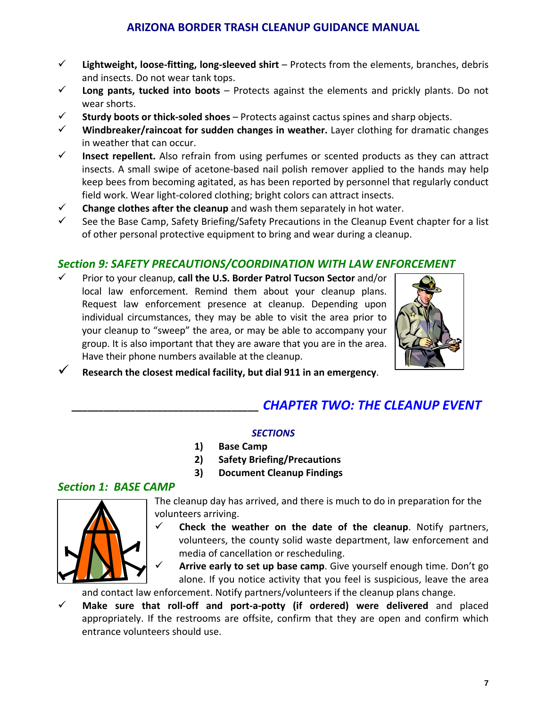- **Lightweight, loose‐fitting, long‐sleeved shirt** Protects from the elements, branches, debris and insects. Do not wear tank tops.
- **Long pants, tucked into boots** Protects against the elements and prickly plants. Do not wear shorts.
- **Sturdy boots or thick‐soled shoes** Protects against cactus spines and sharp objects.
- **Windbreaker/raincoat for sudden changes in weather.** Layer clothing for dramatic changes in weather that can occur.
- **Insect repellent.** Also refrain from using perfumes or scented products as they can attract insects. A small swipe of acetone‐based nail polish remover applied to the hands may help keep bees from becoming agitated, as has been reported by personnel that regularly conduct field work. Wear light‐colored clothing; bright colors can attract insects.
- **Change clothes after the cleanup** and wash them separately in hot water.
- $\checkmark$  See the Base Camp, Safety Briefing/Safety Precautions in the Cleanup Event chapter for a list of other personal protective equipment to bring and wear during a cleanup.

# *Section 9: SAFETY PRECAUTIONS/COORDINATION WITH LAW ENFORCEMENT*

 Prior to your cleanup, **call the U.S. Border Patrol Tucson Sector** and/or local law enforcement. Remind them about your cleanup plans. Request law enforcement presence at cleanup. Depending upon individual circumstances, they may be able to visit the area prior to your cleanup to "sweep" the area, or may be able to accompany your group. It is also important that they are aware that you are in the area. Have their phone numbers available at the cleanup.



**Research the closest medical facility, but dial 911 in an emergency**.

# **\_\_\_\_\_\_\_\_\_\_\_\_\_\_\_\_\_\_\_\_\_\_\_\_\_\_\_\_\_\_\_\_\_\_\_** *CHAPTER TWO: THE CLEANUP EVENT*

#### *SECTIONS*

- **1) Base Camp**
- **2) Safety Briefing/Precautions**
- **3) Document Cleanup Findings**

### *Section 1: BASE CAMP*



The cleanup day has arrived, and there is much to do in preparation for the volunteers arriving.

 **Check the weather on the date of the cleanup**. Notify partners, volunteers, the county solid waste department, law enforcement and media of cancellation or rescheduling.

 **Arrive early to set up base camp**. Give yourself enough time. Don't go alone. If you notice activity that you feel is suspicious, leave the area

and contact law enforcement. Notify partners/volunteers if the cleanup plans change.

 **Make sure that roll‐off and port‐a‐potty (if ordered) were delivered** and placed appropriately. If the restrooms are offsite, confirm that they are open and confirm which entrance volunteers should use.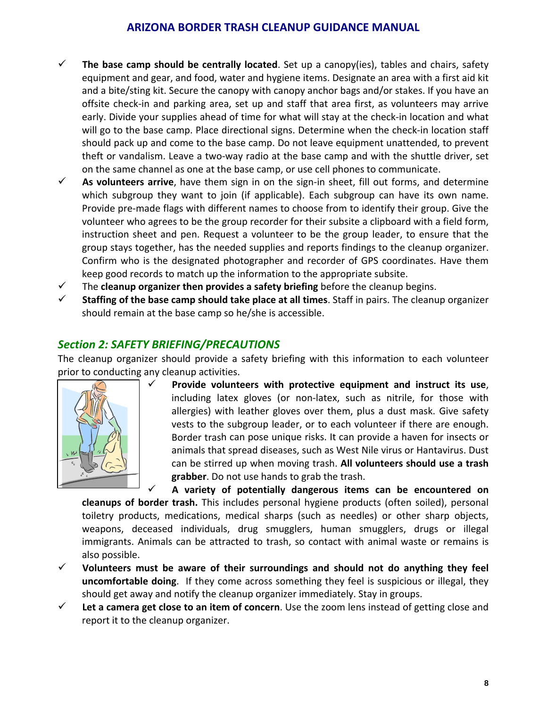- **The base camp should be centrally located**. Set up a canopy(ies), tables and chairs, safety equipment and gear, and food, water and hygiene items. Designate an area with a first aid kit and a bite/sting kit. Secure the canopy with canopy anchor bags and/or stakes. If you have an offsite check‐in and parking area, set up and staff that area first, as volunteers may arrive early. Divide your supplies ahead of time for what will stay at the check-in location and what will go to the base camp. Place directional signs. Determine when the check-in location staff should pack up and come to the base camp. Do not leave equipment unattended, to prevent theft or vandalism. Leave a two-way radio at the base camp and with the shuttle driver, set on the same channel as one at the base camp, or use cell phones to communicate.
- **As volunteers arrive**, have them sign in on the sign‐in sheet, fill out forms, and determine which subgroup they want to join (if applicable). Each subgroup can have its own name. Provide pre‐made flags with different names to choose from to identify their group. Give the volunteer who agrees to be the group recorder for their subsite a clipboard with a field form, instruction sheet and pen. Request a volunteer to be the group leader, to ensure that the group stays together, has the needed supplies and reports findings to the cleanup organizer. Confirm who is the designated photographer and recorder of GPS coordinates. Have them keep good records to match up the information to the appropriate subsite.
- The **cleanup organizer then provides a safety briefing** before the cleanup begins.
- **Staffing of the base camp should take place at all times**. Staff in pairs. The cleanup organizer should remain at the base camp so he/she is accessible.

# *Section 2: SAFETY BRIEFING/PRECAUTIONS*

The cleanup organizer should provide a safety briefing with this information to each volunteer prior to conducting any cleanup activities.



 **Provide volunteers with protective equipment and instruct its use**, including latex gloves (or non‐latex, such as nitrile, for those with allergies) with leather gloves over them, plus a dust mask. Give safety vests to the subgroup leader, or to each volunteer if there are enough. Border trash can pose unique risks. It can provide a haven for insects or animals that spread diseases, such as West Nile virus or Hantavirus. Dust can be stirred up when moving trash. **All volunteers should use a trash grabber**. Do not use hands to grab the trash.

 **A variety of potentially dangerous items can be encountered on cleanups of border trash.** This includes personal hygiene products (often soiled), personal toiletry products, medications, medical sharps (such as needles) or other sharp objects, weapons, deceased individuals, drug smugglers, human smugglers, drugs or illegal immigrants. Animals can be attracted to trash, so contact with animal waste or remains is also possible.

- **Volunteers must be aware of their surroundings and should not do anything they feel uncomfortable doing**. If they come across something they feel is suspicious or illegal, they should get away and notify the cleanup organizer immediately. Stay in groups.
- **Let a camera get close to an item of concern**. Use the zoom lens instead of getting close and report it to the cleanup organizer.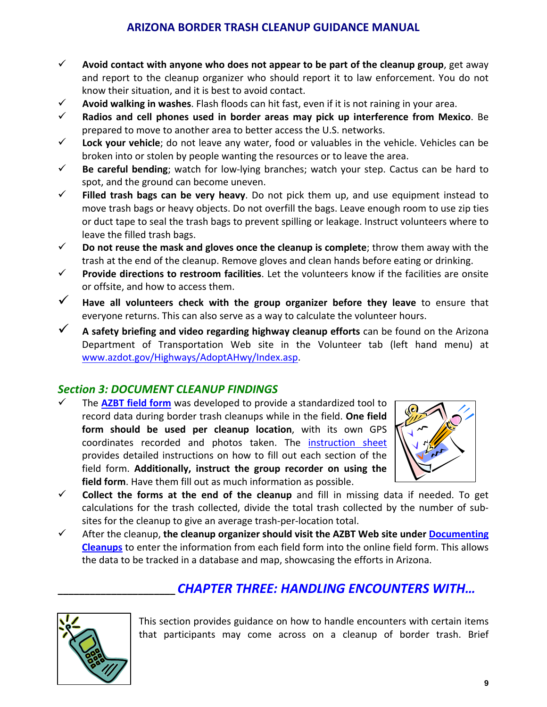- **Avoid contact with anyone who does not appear to be part of the cleanup group**, get away and report to the cleanup organizer who should report it to law enforcement. You do not know their situation, and it is best to avoid contact.
- **Avoid walking in washes**. Flash floods can hit fast, even if it is not raining in your area.
- **Radios and cell phones used in border areas may pick up interference from Mexico**. Be prepared to move to another area to better access the U.S. networks.
- **Lock your vehicle**; do not leave any water, food or valuables in the vehicle. Vehicles can be broken into or stolen by people wanting the resources or to leave the area.
- **Be careful bending**; watch for low‐lying branches; watch your step. Cactus can be hard to spot, and the ground can become uneven.
- **Filled trash bags can be very heavy**. Do not pick them up, and use equipment instead to move trash bags or heavy objects. Do not overfill the bags. Leave enough room to use zip ties or duct tape to seal the trash bags to prevent spilling or leakage. Instruct volunteers where to leave the filled trash bags.
- **Do not reuse the mask and gloves once the cleanup is complete**; throw them away with the trash at the end of the cleanup. Remove gloves and clean hands before eating or drinking.
- **Provide directions to restroom facilities**. Let the volunteers know if the facilities are onsite or offsite, and how to access them.
- **Have all volunteers check with the group organizer before they leave** to ensure that everyone returns. This can also serve as a way to calculate the volunteer hours.
- **A safety briefing and video regarding highway cleanup efforts** can be found on the Arizona Department of Transportation Web site in the Volunteer tab (left hand menu) at [www.azdot.gov/Highways/AdoptAHwy/Index.asp.](http://www.azdot.gov/Highways/AdoptAHwy/Index.asp)

# *Section 3: DOCUMENT CLEANUP FINDINGS*

 The **[AZBT](http://www.azbordertrash.gov/assets/files/fieldform.pdf) field form** was developed to provide a standardized tool to record data during border trash cleanups while in the field. **One field form should be used per cleanup location**, with its own GPS coordinates recorded and photos taken. The [instruction](http://www.azbordertrash.gov/assets/files/fieldforminst.pdf) sheet provides detailed instructions on how to fill out each section of the field form. **Additionally, instruct the group recorder on using the field form**. Have them fill out as much information as possible.



- **Collect the forms at the end of the cleanup** and fill in missing data if needed. To get calculations for the trash collected, divide the total trash collected by the number of sub‐ sites for the cleanup to give an average trash‐per‐location total.
- After the cleanup, **the cleanup organizer should visit the AZBT Web site under [Documenting](http://www.azbordertrash.gov/documenting.html) [Cleanups](http://www.azbordertrash.gov/documenting.html)** to enter the information from each field form into the online field form. This allows the data to be tracked in a database and map, showcasing the efforts in Arizona.

# **\_\_\_\_\_\_\_\_\_\_\_\_\_\_\_\_\_\_\_\_\_\_** *CHAPTER THREE: HANDLING ENCOUNTERS WITH…*



This section provides guidance on how to handle encounters with certain items that participants may come across on a cleanup of border trash. Brief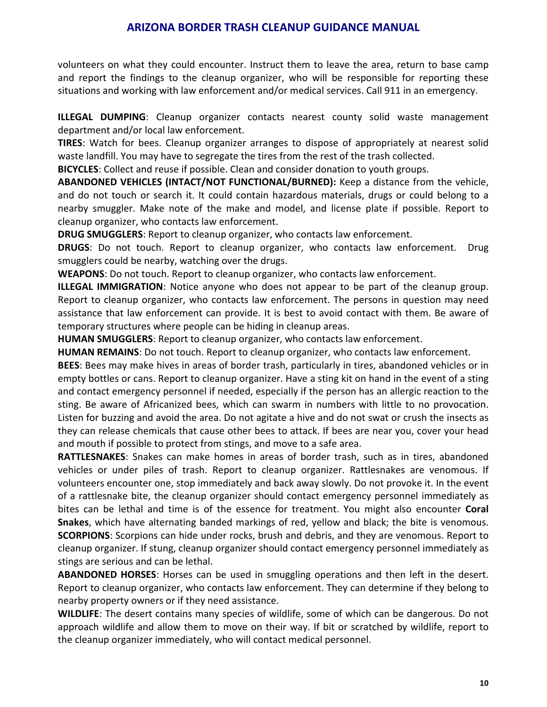volunteers on what they could encounter. Instruct them to leave the area, return to base camp and report the findings to the cleanup organizer, who will be responsible for reporting these situations and working with law enforcement and/or medical services. Call 911 in an emergency.

**ILLEGAL DUMPING**: Cleanup organizer contacts nearest county solid waste management department and/or local law enforcement.

**TIRES**: Watch for bees. Cleanup organizer arranges to dispose of appropriately at nearest solid waste landfill. You may have to segregate the tires from the rest of the trash collected.

**BICYCLES**: Collect and reuse if possible. Clean and consider donation to youth groups.

**ABANDONED VEHICLES (INTACT/NOT FUNCTIONAL/BURNED):** Keep a distance from the vehicle, and do not touch or search it. It could contain hazardous materials, drugs or could belong to a nearby smuggler. Make note of the make and model, and license plate if possible. Report to cleanup organizer, who contacts law enforcement.

**DRUG SMUGGLERS**: Report to cleanup organizer, who contacts law enforcement.

**DRUGS**: Do not touch. Report to cleanup organizer, who contacts law enforcement. Drug smugglers could be nearby, watching over the drugs.

**WEAPONS**: Do not touch. Report to cleanup organizer, who contacts law enforcement.

**ILLEGAL IMMIGRATION**: Notice anyone who does not appear to be part of the cleanup group. Report to cleanup organizer, who contacts law enforcement. The persons in question may need assistance that law enforcement can provide. It is best to avoid contact with them. Be aware of temporary structures where people can be hiding in cleanup areas.

**HUMAN SMUGGLERS**: Report to cleanup organizer, who contacts law enforcement.

**HUMAN REMAINS**: Do not touch. Report to cleanup organizer, who contacts law enforcement.

**BEES**: Bees may make hives in areas of border trash, particularly in tires, abandoned vehicles or in empty bottles or cans. Report to cleanup organizer. Have a sting kit on hand in the event of a sting and contact emergency personnel if needed, especially if the person has an allergic reaction to the sting. Be aware of Africanized bees, which can swarm in numbers with little to no provocation. Listen for buzzing and avoid the area. Do not agitate a hive and do not swat or crush the insects as they can release chemicals that cause other bees to attack. If bees are near you, cover your head and mouth if possible to protect from stings, and move to a safe area.

**RATTLESNAKES**: Snakes can make homes in areas of border trash, such as in tires, abandoned vehicles or under piles of trash. Report to cleanup organizer. Rattlesnakes are venomous. If volunteers encounter one, stop immediately and back away slowly. Do not provoke it. In the event of a rattlesnake bite, the cleanup organizer should contact emergency personnel immediately as bites can be lethal and time is of the essence for treatment. You might also encounter **Coral Snakes**, which have alternating banded markings of red, yellow and black; the bite is venomous. **SCORPIONS**: Scorpions can hide under rocks, brush and debris, and they are venomous. Report to cleanup organizer. If stung, cleanup organizer should contact emergency personnel immediately as stings are serious and can be lethal.

**ABANDONED HORSES**: Horses can be used in smuggling operations and then left in the desert. Report to cleanup organizer, who contacts law enforcement. They can determine if they belong to nearby property owners or if they need assistance.

**WILDLIFE**: The desert contains many species of wildlife, some of which can be dangerous. Do not approach wildlife and allow them to move on their way. If bit or scratched by wildlife, report to the cleanup organizer immediately, who will contact medical personnel.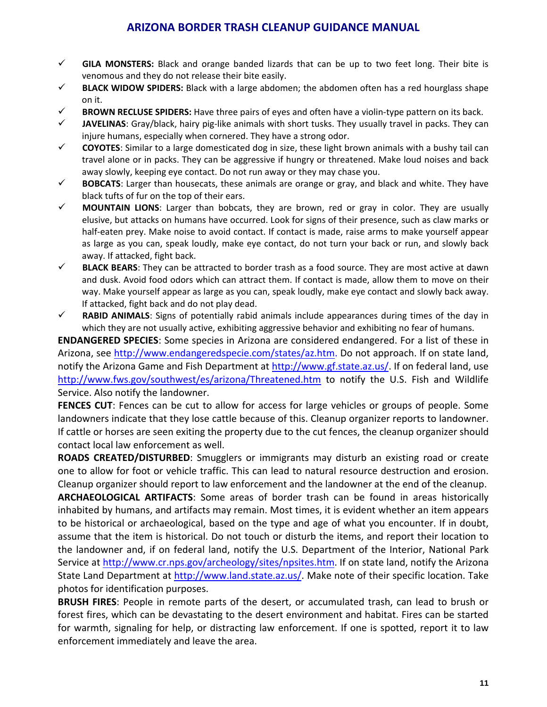- **GILA MONSTERS:** Black and orange banded lizards that can be up to two feet long. Their bite is venomous and they do not release their bite easily.
- **BLACK WIDOW SPIDERS:** Black with a large abdomen; the abdomen often has a red hourglass shape on it.
- **BROWN RECLUSE SPIDERS:** Have three pairs of eyes and often have a violin‐type pattern on its back.
- $\checkmark$  **JAVELINAS**: Gray/black, hairy pig-like animals with short tusks. They usually travel in packs. They can injure humans, especially when cornered. They have a strong odor.
- $\checkmark$  **COYOTES**: Similar to a large domesticated dog in size, these light brown animals with a bushy tail can travel alone or in packs. They can be aggressive if hungry or threatened. Make loud noises and back away slowly, keeping eye contact. Do not run away or they may chase you.
- $\checkmark$  **BOBCATS**: Larger than housecats, these animals are orange or gray, and black and white. They have black tufts of fur on the top of their ears.
- **MOUNTAIN LIONS**: Larger than bobcats, they are brown, red or gray in color. They are usually elusive, but attacks on humans have occurred. Look for signs of their presence, such as claw marks or half-eaten prey. Make noise to avoid contact. If contact is made, raise arms to make yourself appear as large as you can, speak loudly, make eye contact, do not turn your back or run, and slowly back away. If attacked, fight back.
- $\checkmark$  **BLACK BEARS**: They can be attracted to border trash as a food source. They are most active at dawn and dusk. Avoid food odors which can attract them. If contact is made, allow them to move on their way. Make yourself appear as large as you can, speak loudly, make eye contact and slowly back away. If attacked, fight back and do not play dead.
- **K RABID ANIMALS**: Signs of potentially rabid animals include appearances during times of the day in which they are not usually active, exhibiting aggressive behavior and exhibiting no fear of humans.

**ENDANGERED SPECIES**: Some species in Arizona are considered endangered. For a list of these in Arizona, see [http://www.endangeredspecie.com/states/az.htm.](http://www.endangeredspecie.com/states/az.htm) Do not approach. If on state land, notify the Arizona Game and Fish Department at <http://www.gf.state.az.us/>. If on federal land, use <http://www.fws.gov/southwest/es/arizona/Threatened.htm> to notify the U.S. Fish and Wildlife Service. Also notify the landowner.

**FENCES CUT**: Fences can be cut to allow for access for large vehicles or groups of people. Some landowners indicate that they lose cattle because of this. Cleanup organizer reports to landowner. If cattle or horses are seen exiting the property due to the cut fences, the cleanup organizer should contact local law enforcement as well.

**ROADS CREATED/DISTURBED**: Smugglers or immigrants may disturb an existing road or create one to allow for foot or vehicle traffic. This can lead to natural resource destruction and erosion. Cleanup organizer should report to law enforcement and the landowner at the end of the cleanup.

**ARCHAEOLOGICAL ARTIFACTS**: Some areas of border trash can be found in areas historically inhabited by humans, and artifacts may remain. Most times, it is evident whether an item appears to be historical or archaeological, based on the type and age of what you encounter. If in doubt, assume that the item is historical. Do not touch or disturb the items, and report their location to the landowner and, if on federal land, notify the U.S. Department of the Interior, National Park Service at [http://www.cr.nps.gov/archeology/sites/npsites.htm.](http://www.cr.nps.gov/archeology/sites/npsites.htm) If on state land, notify the Arizona State Land Department at [http://www.land.state.az.us/.](http://www.land.state.az.us/) Make note of their specific location. Take photos for identification purposes.

**BRUSH FIRES**: People in remote parts of the desert, or accumulated trash, can lead to brush or forest fires, which can be devastating to the desert environment and habitat. Fires can be started for warmth, signaling for help, or distracting law enforcement. If one is spotted, report it to law enforcement immediately and leave the area.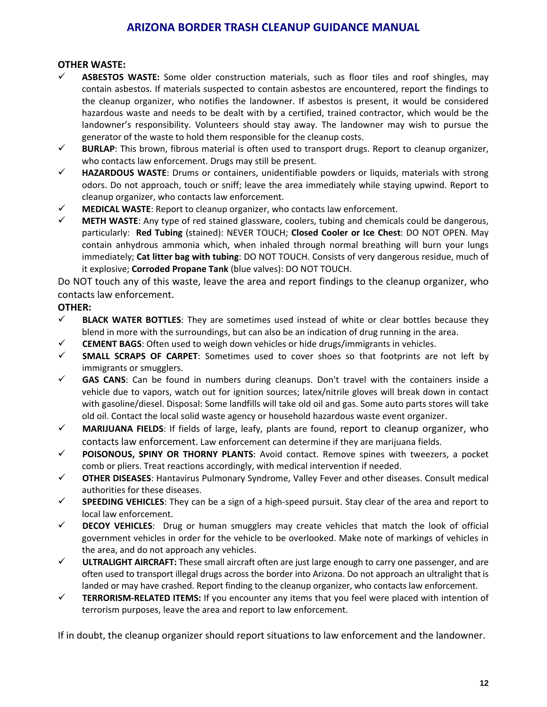#### **OTHER WASTE:**

- **ASBESTOS WASTE:** Some older construction materials, such as floor tiles and roof shingles, may contain asbestos. If materials suspected to contain asbestos are encountered, report the findings to the cleanup organizer, who notifies the landowner. If asbestos is present, it would be considered hazardous waste and needs to be dealt with by a certified, trained contractor, which would be the landowner's responsibility. Volunteers should stay away. The landowner may wish to pursue the generator of the waste to hold them responsible for the cleanup costs.
- $\checkmark$  **BURLAP**: This brown, fibrous material is often used to transport drugs. Report to cleanup organizer, who contacts law enforcement. Drugs may still be present.
- **HAZARDOUS WASTE**: Drums or containers, unidentifiable powders or liquids, materials with strong odors. Do not approach, touch or sniff; leave the area immediately while staying upwind. Report to cleanup organizer, who contacts law enforcement.
- $\checkmark$  **MEDICAL WASTE:** Report to cleanup organizer, who contacts law enforcement.
- **METH WASTE**: Any type of red stained glassware, coolers, tubing and chemicals could be dangerous, particularly: **Red Tubing** (stained): NEVER TOUCH; **Closed Cooler or Ice Chest**: DO NOT OPEN. May contain anhydrous ammonia which, when inhaled through normal breathing will burn your lungs immediately; **Cat litter bag with tubing**: DO NOT TOUCH. Consists of very dangerous residue, much of it explosive; **Corroded Propane Tank** (blue valves): DO NOT TOUCH.

Do NOT touch any of this waste, leave the area and report findings to the cleanup organizer, who contacts law enforcement.

#### **OTHER:**

- **BLACK WATER BOTTLES**: They are sometimes used instead of white or clear bottles because they blend in more with the surroundings, but can also be an indication of drug running in the area.
- **CEMENT BAGS**: Often used to weigh down vehicles or hide drugs/immigrants in vehicles.
- **SMALL SCRAPS OF CARPET**: Sometimes used to cover shoes so that footprints are not left by immigrants or smugglers.
- $\checkmark$  **GAS CANS**: Can be found in numbers during cleanups. Don't travel with the containers inside a vehicle due to vapors, watch out for ignition sources; latex/nitrile gloves will break down in contact with gasoline/diesel. Disposal: Some landfills will take old oil and gas. Some auto parts stores will take old oil. Contact the local solid waste agency or household hazardous waste event organizer.
- **MARIJUANA FIELDS**: If fields of large, leafy, plants are found, report to cleanup organizer, who contacts law enforcement. Law enforcement can determine if they are marijuana fields.
- **POISONOUS, SPINY OR THORNY PLANTS**: Avoid contact. Remove spines with tweezers, a pocket comb or pliers. Treat reactions accordingly, with medical intervention if needed.
- **OTHER DISEASES**: Hantavirus Pulmonary Syndrome, Valley Fever and other diseases. Consult medical authorities for these diseases.
- **SPEEDING VEHICLES**: They can be a sign of a high‐speed pursuit. Stay clear of the area and report to local law enforcement.
- **DECOY VEHICLES**: Drug or human smugglers may create vehicles that match the look of official government vehicles in order for the vehicle to be overlooked. Make note of markings of vehicles in the area, and do not approach any vehicles.
- **ULTRALIGHT AIRCRAFT:** These small aircraft often are just large enough to carry one passenger, and are often used to transport illegal drugs across the border into Arizona. Do not approach an ultralight that is landed or may have crashed. Report finding to the cleanup organizer, who contacts law enforcement.
- **TERRORISM‐RELATED ITEMS:** If you encounter any items that you feel were placed with intention of terrorism purposes, leave the area and report to law enforcement.

If in doubt, the cleanup organizer should report situations to law enforcement and the landowner.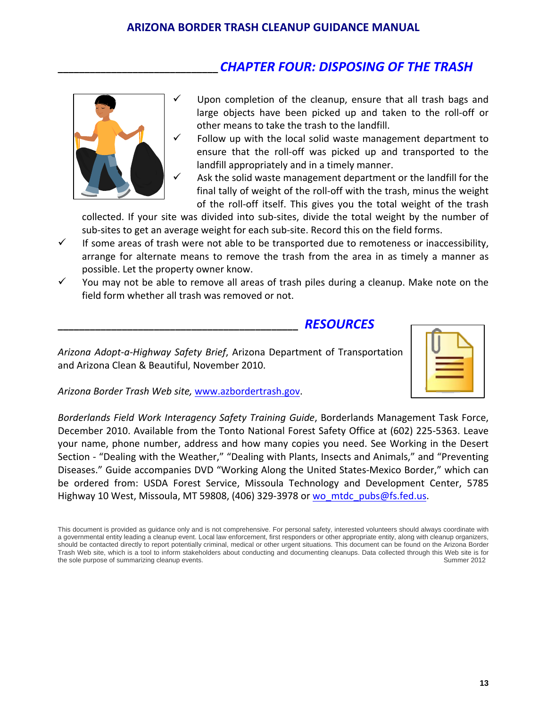# **\_\_\_\_\_\_\_\_\_\_\_\_\_\_\_\_\_\_\_\_\_\_\_\_\_\_\_\_\_\_** *CHAPTER FOUR: DISPOSING OF THE TRASH*



- Upon completion of the cleanup, ensure that all trash bags and large objects have been picked up and taken to the roll‐off or other means to take the trash to the landfill.
- $\checkmark$  Follow up with the local solid waste management department to ensure that the roll‐off was picked up and transported to the landfill appropriately and in a timely manner.
	- Ask the solid waste management department or the landfill for the final tally of weight of the roll-off with the trash, minus the weight of the roll‐off itself. This gives you the total weight of the trash

collected. If your site was divided into sub‐sites, divide the total weight by the number of sub-sites to get an average weight for each sub-site. Record this on the field forms.

- $\checkmark$  If some areas of trash were not able to be transported due to remoteness or inaccessibility, arrange for alternate means to remove the trash from the area in as timely a manner as possible. Let the property owner know.
- $\checkmark$  You may not be able to remove all areas of trash piles during a cleanup. Make note on the field form whether all trash was removed or not.

#### **\_\_\_\_\_\_\_\_\_\_\_\_\_\_\_\_\_\_\_\_\_\_\_\_\_\_\_\_\_\_\_\_\_\_\_\_\_\_\_\_\_\_\_\_\_** *RESOURCES*

*Arizona Adopt‐a‐Highway Safety Brief*, Arizona Department of Transportation and Arizona Clean & Beautiful, November 2010.



*Arizona Border Trash Web site,* [www.azbordertrash.gov.](http://www.azbordertrash.gov/)

*Borderlands Field Work Interagency Safety Training Guide*, Borderlands Management Task Force, December 2010. Available from the Tonto National Forest Safety Office at (602) 225‐5363. Leave your name, phone number, address and how many copies you need. See Working in the Desert Section ‐ "Dealing with the Weather," "Dealing with Plants, Insects and Animals," and "Preventing Diseases." Guide accompanies DVD "Working Along the United States‐Mexico Border," which can be ordered from: USDA Forest Service, Missoula Technology and Development Center, 5785 Highway 10 West, Missoula, MT 59808, (406) 329-3978 or [wo\\_mtdc\\_pubs@fs.fed.us.](mailto:wo_mtdc_pubs@fs.fed.us)

This document is provided as guidance only and is not comprehensive. For personal safety, interested volunteers should always coordinate with a governmental entity leading a cleanup event. Local law enforcement, first responders or other appropriate entity, along with cleanup organizers, should be contacted directly to report potentially criminal, medical or other urgent situations. This document can be found on the Arizona Border Trash Web site, which is a tool to inform stakeholders about conducting and documenting cleanups. Data collected through this Web site is for the sole purpose of summarizing cleanup events. The sole purpose of summer 2012